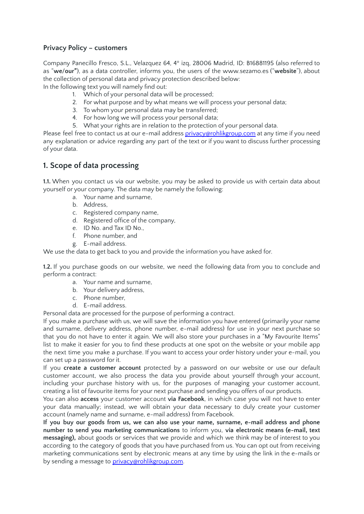#### **Privacy Policy – customers**

Company Panecillo Fresco, S.L., Velazquez 64, 4º izq, 28006 Madrid, ID: B16881195 (also referred to as "**we**/**our"**), as a data controller, informs you, the users of the www.sezamo.es ("**website**"), about the collection of personal data and privacy protection described below:

In the following text you will namely find out:

- 1. Which of your personal data will be processed;
- 2. For what purpose and by what means we will process your personal data;
- 3. To whom your personal data may be transferred;
- 4. For how long we will process your personal data;
- 5. What your rights are in relation to the protection of your personal data.

Please feel free to contact us at our e-mail address [privacy@rohlikgroup.com](mailto:privacy@rohlikgroup.com) at any time if you need any explanation or advice regarding any part of the text or if you want to discuss further processing of your data.

### **1. Scope of data processing**

**1.1.** When you contact us via our website, you may be asked to provide us with certain data about yourself or your company. The data may be namely the following:

- a. Your name and surname,
- b. Address,
- c. Registered company name,
- d. Registered office of the company,
- e. ID No. and Tax ID No.,
- f. Phone number, and
- g. E-mail address.

We use the data to get back to you and provide the information you have asked for.

**1.2.** If you purchase goods on our website, we need the following data from you to conclude and perform a contract:

- a. Your name and surname,
- b. Your delivery address,
- c. Phone number,
- d. E-mail address.

Personal data are processed for the purpose of performing a contract.

If you make a purchase with us, we will save the information you have entered (primarily your name and surname, delivery address, phone number, e-mail address) for use in your next purchase so that you do not have to enter it again. We will also store your purchases in a "My Favourite Items" list to make it easier for you to find these products at one spot on the website or your mobile app the next time you make a purchase. If you want to access your order history under your e-mail, you can set up a password for it.

If you **create a customer account** protected by a password on our website or use our default customer account, we also process the data you provide about yourself through your account, including your purchase history with us, for the purposes of managing your customer account, creating a list of favourite items for your next purchase and sending you offers of our products.

You can also **access** your customer account **via Facebook**, in which case you will not have to enter your data manually; instead, we will obtain your data necessary to duly create your customer account (namely name and surname, e-mail address) from Facebook.

**If you buy our goods from us, we can also use your name, surname, e-mail address and phone number to send you marketing communications** to inform you, **via electronic means (e-mail, text messaging),** about goods or services that we provide and which we think may be of interest to you according to the category of goods that you have purchased from us. You can opt out from receiving marketing communications sent by electronic means at any time by using the link in the e-mails or by sending a message to [privacy@rohlikgroup.com.](mailto:privacy@rohlikgroup.com)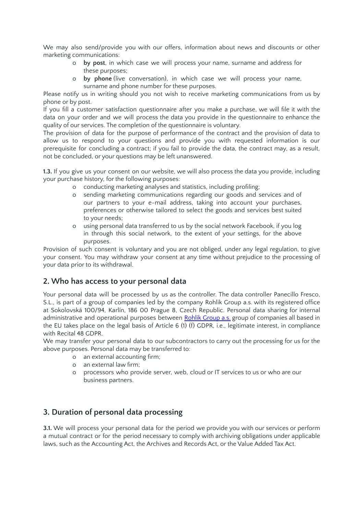We may also send/provide you with our offers, information about news and discounts or other marketing communications:

- o **by post**, in which case we will process your name, surname and address for these purposes;
- o **by phone** (live conversation), in which case we will process your name, surname and phone number for these purposes.

Please notify us in writing should you not wish to receive marketing communications from us by phone or by post.

If you fill a customer satisfaction questionnaire after you make a purchase, we will file it with the data on your order and we will process the data you provide in the questionnaire to enhance the quality of our services. The completion of the questionnaire is voluntary.

The provision of data for the purpose of performance of the contract and the provision of data to allow us to respond to your questions and provide you with requested information is our prerequisite for concluding a contract; if you fail to provide the data, the contract may, as a result, not be concluded, or your questions may be left unanswered.

**1.3.** If you give us your consent on our website, we will also process the data you provide, including your purchase history, for the following purposes:

- o conducting marketing analyses and statistics, including profiling;
- o sending marketing communications regarding our goods and services and of our partners to your e-mail address, taking into account your purchases, preferences or otherwise tailored to select the goods and services best suited to your needs;
- o using personal data transferred to us by the social network Facebook, if you log in through this social network, to the extent of your settings, for the above purposes.

Provision of such consent is voluntary and you are not obliged, under any legal regulation, to give your consent. You may withdraw your consent at any time without prejudice to the processing of your data prior to its withdrawal.

#### **2. Who has access to your personal data**

Your personal data will be processed by us as the controller. The data controller Panecillo Fresco, S.L., is part of a group of companies led by the company Rohlik Group a.s. with its registered office at Sokolovská 100/94, Karlín, 186 00 Prague 8, Czech Republic. Personal data sharing for internal administrative and operational purposes between Rohlik [Group](https://www.rohlik.group/) a.s. group of companies all based in the EU takes place on the legal basis of Article 6 (1) (f) GDPR, i.e., legitimate interest, in compliance with Recital 48 GDPR.

We may transfer your personal data to our subcontractors to carry out the processing for us for the above purposes. Personal data may be transferred to:

- o an external accounting firm;
- o an external law firm;
- o processors who provide server, web, cloud or IT services to us or who are our business partners.

# **3. Duration of personal data processing**

**3.1.** We will process your personal data for the period we provide you with our services or perform a mutual contract or for the period necessary to comply with archiving obligations under applicable laws, such as the Accounting Act, the Archives and Records Act, or the Value Added Tax Act.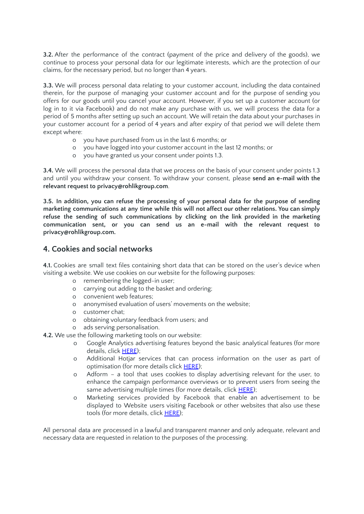**3.2.** After the performance of the contract (payment of the price and delivery of the goods), we continue to process your personal data for our legitimate interests, which are the protection of our claims, for the necessary period, but no longer than 4 years.

**3.3.** We will process personal data relating to your customer account, including the data contained therein, for the purpose of managing your customer account and for the purpose of sending you offers for our goods until you cancel your account. However, if you set up a customer account (or log in to it via Facebook) and do not make any purchase with us, we will process the data for a period of 5 months after setting up such an account. We will retain the data about your purchases in your customer account for a period of 4 years and after expiry of that period we will delete them except where:

- o you have purchased from us in the last 6 months; or
- o you have logged into your customer account in the last 12 months; or
- o you have granted us your consent under points 1.3.

**3.4.** We will process the personal data that we process on the basis of your consent under points 1.3 and until you withdraw your consent. To withdraw your consent, please **send an e-mail with the relevant request to privacy@rohlikgroup.com**.

**3.5. In addition, you can refuse the processing of your personal data for the purpose of sending marketing communications at any time while this will not affect our other relations. You can simply refuse the sending of such communications by clicking on the link provided in the marketing communication sent, or you can send us an e-mail with the relevant request to privacy@rohlikgroup.com.**

#### **4. Cookies and social networks**

**4.1.** Cookies are small text files containing short data that can be stored on the user's device when visiting a website. We use cookies on our website for the following purposes:

- o remembering the logged-in user;
- o carrying out adding to the basket and ordering;
- o convenient web features;
- o anonymised evaluation of users' movements on the website;
- o customer chat;
- o obtaining voluntary feedback from users; and
- o ads serving personalisation.

**4.2.** We use the following marketing tools on our website:

- o Google Analytics advertising features beyond the basic analytical features (for more details, click [HERE](https://support.google.com/analytics/answer/6004245?hl=en));
- o Additional Hotjar services that can process information on the user as part of optimisation (for more details click [HERE](https://www.hotjar.com/privacy/));
- o Adform a tool that uses cookies to display advertising relevant for the user, to enhance the campaign performance overviews or to prevent users from seeing the same advertising multiple times (for more details, click [HERE\)](https://site.adform.com/privacy-center/overview/);
- o Marketing services provided by Facebook that enable an advertisement to be displayed to Website users visiting Facebook or other websites that also use these tools (for more details, click [HERE\)](https://www.facebook.com/privacy/explanation);

All personal data are processed in a lawful and transparent manner and only adequate, relevant and necessary data are requested in relation to the purposes of the processing.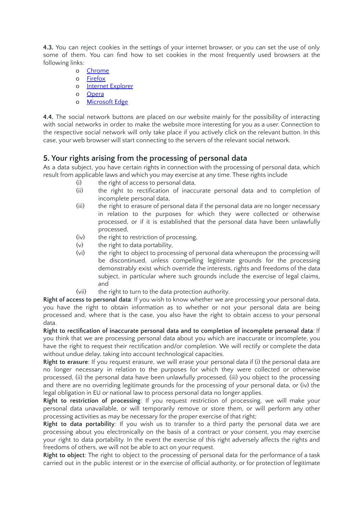**4.3.** You can reject cookies in the settings of your internet browser, or you can set the use of only some of them. You can find how to set cookies in the most frequently used browsers at the following links:

- o [Chrome](https://support.google.com/accounts/answer/61416?hl=cs)
- o [Firefox](https://support.mozilla.org/cs/kb/vymazani-cookies?redirect=no)
- o Internet [Explorer](https://support.microsoft.com/cs-cz/products/security)
- o [Opera](https://help.opera.com/cs/latest/security-and-privacy/)
- o [Microsoft](https://docs.microsoft.com/cs-cz/mem/configmgr/compliance/deploy-use/browser-profiles) Edge

**4.4.** The social network buttons are placed on our website mainly for the possibility of interacting with social networks in order to make the website more interesting for you as a user. Connection to the respective social network will only take place if you actively click on the relevant button. In this case, your web browser will start connecting to the servers of the relevant social network.

# **5. Your rights arising from the processing of personal data**

As a data subject, you have certain rights in connection with the processing of personal data, which result from applicable laws and which you may exercise at any time. These rights include

- (i) the right of access to personal data,
- (ii) the right to rectification of inaccurate personal data and to completion of incomplete personal data,
- (iii) the right to erasure of personal data if the personal data are no longer necessary in relation to the purposes for which they were collected or otherwise processed, or if it is established that the personal data have been unlawfully processed,
- (iv) the right to restriction of processing,
- $(v)$  the right to data portability,
- (vi) the right to object to processing of personal data whereupon the processing will be discontinued, unless compelling legitimate grounds for the processing demonstrably exist which override the interests, rights and freedoms of the data subject, in particular where such grounds include the exercise of legal claims, and
- (vii) the right to turn to the data protection authority.

**Right of access to personal data**: If you wish to know whether we are processing your personal data, you have the right to obtain information as to whether or not your personal data are being processed and, where that is the case, you also have the right to obtain access to your personal data.

**Right to rectification of inaccurate personal data and to completion of incomplete personal data**: If you think that we are processing personal data about you which are inaccurate or incomplete, you have the right to request their rectification and/or completion. We will rectify or complete the data without undue delay, taking into account technological capacities.

**Right to erasure**: If you request erasure, we will erase your personal data if (i) the personal data are no longer necessary in relation to the purposes for which they were collected or otherwise processed, (ii) the personal data have been unlawfully processed, (iii) you object to the processing and there are no overriding legitimate grounds for the processing of your personal data, or (iv) the legal obligation in EU or national law to process personal data no longer applies.

**Right to restriction of processing**: If you request restriction of processing, we will make your personal data unavailable, or will temporarily remove or store them, or will perform any other processing activities as may be necessary for the proper exercise of that right;

**Right to data portability**: If you wish us to transfer to a third party the personal data we are processing about you electronically on the basis of a contract or your consent, you may exercise your right to data portability. In the event the exercise of this right adversely affects the rights and freedoms of others, we will not be able to act on your request.

**Right to object**: The right to object to the processing of personal data for the performance of a task carried out in the public interest or in the exercise of official authority, or for protection of legitimate